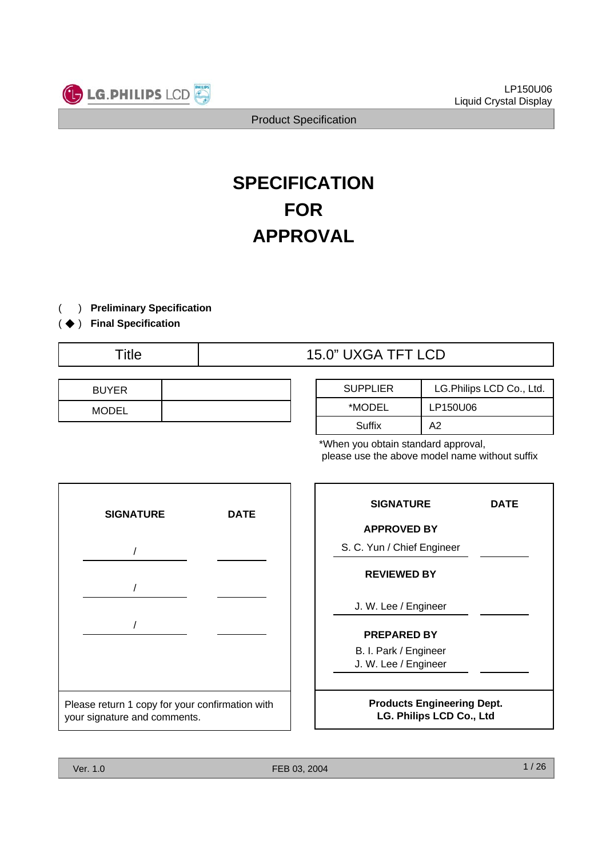

# **SPECIFICATION FOR APPROVAL**

) **Preliminary Specification** (

) ( ◆ **Final Specification**

Title  $15.0$ " UXGA TFT LCD

| <b>BUYER</b> |  |
|--------------|--|
| <b>MODEL</b> |  |

| <b>SUPPLIER</b> | LG.Philips LCD Co., Ltd. |
|-----------------|--------------------------|
| *MODEL          | LP150U06                 |
| Suffix          | А2                       |

\*When you obtain standard approval, please use the above model name without suffix



| <b>SIGNATURE</b>                                                     | DATE |  |  |  |
|----------------------------------------------------------------------|------|--|--|--|
| <b>APPROVED BY</b>                                                   |      |  |  |  |
| S. C. Yun / Chief Engineer                                           |      |  |  |  |
| <b>REVIEWED BY</b>                                                   |      |  |  |  |
| J. W. Lee / Engineer                                                 |      |  |  |  |
| <b>PREPARED BY</b>                                                   |      |  |  |  |
| B. I. Park / Engineer<br>J. W. Lee / Engineer                        |      |  |  |  |
| <b>Products Engineering Dept.</b><br><b>LG. Philips LCD Co., Ltd</b> |      |  |  |  |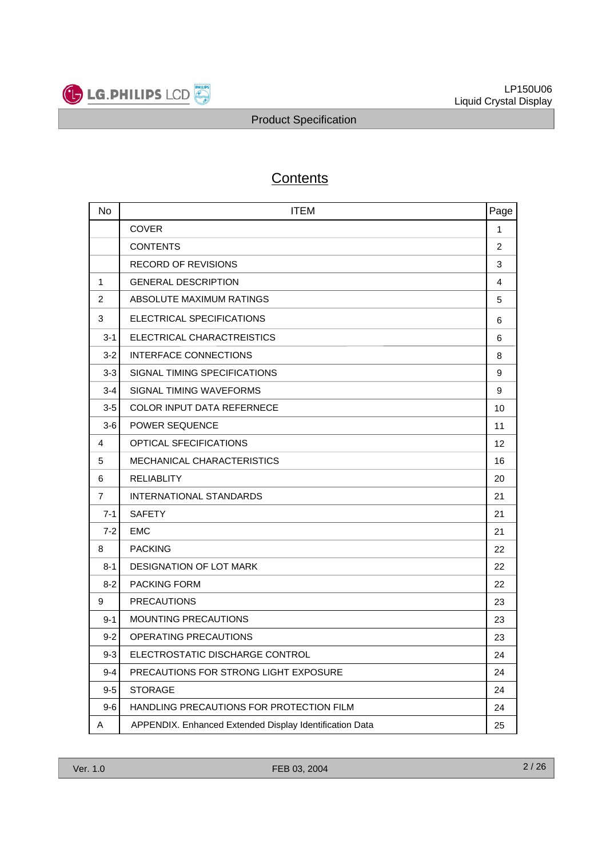

# **Contents**

| No             | <b>ITEM</b><br>Page                                           |    |  |  |
|----------------|---------------------------------------------------------------|----|--|--|
|                | <b>COVER</b>                                                  | 1  |  |  |
|                | <b>CONTENTS</b>                                               | 2  |  |  |
|                | <b>RECORD OF REVISIONS</b>                                    | 3  |  |  |
| 1              | <b>GENERAL DESCRIPTION</b>                                    | 4  |  |  |
| 2              | ABSOLUTE MAXIMUM RATINGS                                      | 5  |  |  |
| 3              | ELECTRICAL SPECIFICATIONS                                     | 6  |  |  |
| $3 - 1$        | ELECTRICAL CHARACTREISTICS                                    | 6  |  |  |
| $3 - 2$        | INTERFACE CONNECTIONS                                         | 8  |  |  |
| $3-3$          | SIGNAL TIMING SPECIFICATIONS                                  | 9  |  |  |
| $3 - 4$        | SIGNAL TIMING WAVEFORMS                                       | 9  |  |  |
| $3-5$          | <b>COLOR INPUT DATA REFERNECE</b>                             | 10 |  |  |
| $3-6$          | <b>POWER SEQUENCE</b>                                         | 11 |  |  |
| 4              | <b>OPTICAL SFECIFICATIONS</b>                                 |    |  |  |
| 5              | <b>MECHANICAL CHARACTERISTICS</b>                             |    |  |  |
| 6              | <b>RELIABLITY</b>                                             | 20 |  |  |
| $\overline{7}$ | <b>INTERNATIONAL STANDARDS</b>                                | 21 |  |  |
| $7 - 1$        | <b>SAFETY</b>                                                 | 21 |  |  |
| $7 - 2$        | <b>EMC</b>                                                    | 21 |  |  |
| 8              | <b>PACKING</b>                                                | 22 |  |  |
| $8 - 1$        | <b>DESIGNATION OF LOT MARK</b>                                | 22 |  |  |
| $8-2$          | <b>PACKING FORM</b>                                           | 22 |  |  |
| 9              | <b>PRECAUTIONS</b>                                            | 23 |  |  |
| $9 - 1$        | MOUNTING PRECAUTIONS                                          | 23 |  |  |
| $9 - 2$        | OPERATING PRECAUTIONS                                         | 23 |  |  |
| $9-3$          | ELECTROSTATIC DISCHARGE CONTROL                               | 24 |  |  |
| $9 - 4$        | PRECAUTIONS FOR STRONG LIGHT EXPOSURE                         | 24 |  |  |
| $9-5$          | <b>STORAGE</b>                                                | 24 |  |  |
| $9-6$          | HANDLING PRECAUTIONS FOR PROTECTION FILM                      | 24 |  |  |
| Α              | APPENDIX. Enhanced Extended Display Identification Data<br>25 |    |  |  |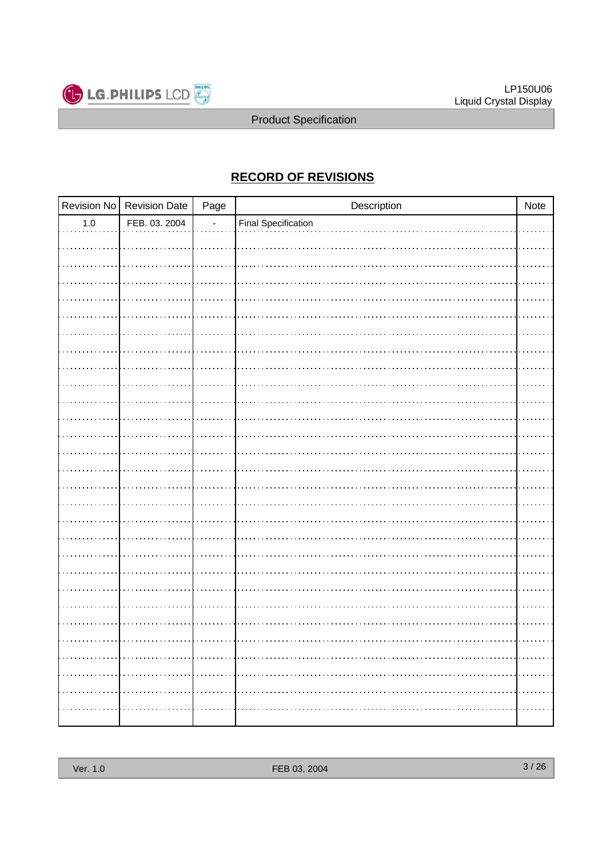

# **RECORD OF REVISIONS**

|         | Revision No Revision Date | Page | Description         | Note |
|---------|---------------------------|------|---------------------|------|
| $1.0\,$ | FEB. 03. 2004             |      | Final Specification |      |
|         |                           |      |                     |      |
|         |                           |      |                     |      |
|         |                           |      |                     |      |
|         |                           |      |                     |      |
|         |                           |      |                     |      |
|         |                           |      |                     |      |
|         |                           |      |                     |      |
|         |                           |      |                     |      |
|         |                           |      |                     |      |
|         |                           |      |                     |      |
|         |                           |      |                     |      |
|         |                           |      |                     |      |
|         |                           |      |                     |      |
|         |                           |      |                     |      |
|         |                           |      |                     |      |
|         |                           |      |                     |      |
|         |                           |      |                     |      |
|         |                           |      |                     |      |
|         |                           |      |                     |      |
|         |                           |      |                     |      |
|         |                           |      |                     |      |
|         |                           |      |                     |      |
|         |                           |      |                     |      |
|         |                           |      |                     |      |
|         |                           |      |                     |      |
|         |                           |      |                     |      |
|         |                           |      |                     |      |
|         |                           |      |                     |      |
|         |                           |      |                     |      |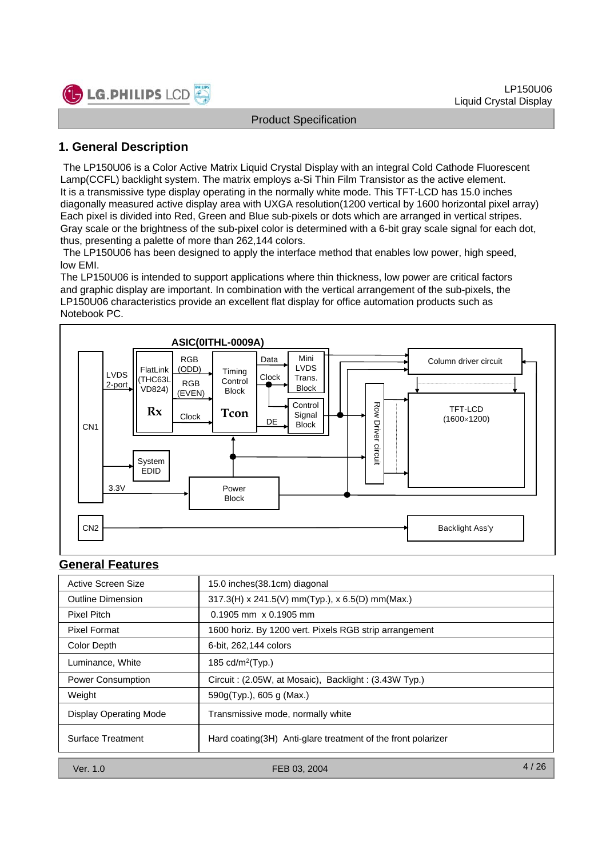

# **1. General Description**

The LP150U06 is a Color Active Matrix Liquid Crystal Display with an integral Cold Cathode Fluorescent Lamp(CCFL) backlight system. The matrix employs a-Si Thin Film Transistor as the active element. It is a transmissive type display operating in the normally white mode. This TFT-LCD has 15.0 inches diagonally measured active display area with UXGA resolution(1200 vertical by 1600 horizontal pixel array) Each pixel is divided into Red, Green and Blue sub-pixels or dots which are arranged in vertical stripes. Gray scale or the brightness of the sub-pixel color is determined with a 6-bit gray scale signal for each dot, thus, presenting a palette of more than 262,144 colors.

The LP150U06 has been designed to apply the interface method that enables low power, high speed, low EMI.

The LP150U06 is intended to support applications where thin thickness, low power are critical factors and graphic display are important. In combination with the vertical arrangement of the sub-pixels, the LP150U06 characteristics provide an excellent flat display for office automation products such as Notebook PC.



#### **General Features**

| Active Screen Size            | 15.0 inches(38.1cm) diagonal                                  |
|-------------------------------|---------------------------------------------------------------|
| <b>Outline Dimension</b>      | $317.3(H)$ x 241.5(V) mm(Typ.), x 6.5(D) mm(Max.)             |
| Pixel Pitch                   | $0.1905$ mm $\times$ 0.1905 mm                                |
| <b>Pixel Format</b>           | 1600 horiz. By 1200 vert. Pixels RGB strip arrangement        |
| Color Depth                   | 6-bit, 262,144 colors                                         |
| Luminance, White              | 185 cd/m <sup>2</sup> (Typ.)                                  |
| Power Consumption             | Circuit: (2.05W, at Mosaic), Backlight: (3.43W Typ.)          |
| Weight                        | 590g(Typ.), 605 g (Max.)                                      |
| <b>Display Operating Mode</b> | Transmissive mode, normally white                             |
| Surface Treatment             | Hard coating (3H) Anti-glare treatment of the front polarizer |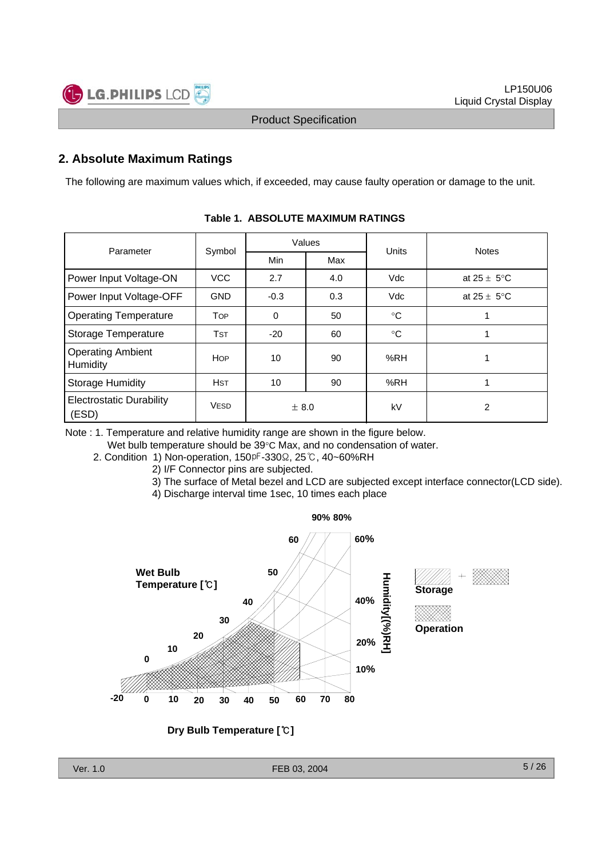# **2. Absolute Maximum Ratings**

The following are maximum values which, if exceeded, may cause faulty operation or damage to the unit.

| Parameter                                | Symbol      | Values      |     | Units        | <b>Notes</b>            |  |
|------------------------------------------|-------------|-------------|-----|--------------|-------------------------|--|
|                                          |             | <b>Min</b>  | Max |              |                         |  |
| Power Input Voltage-ON                   | <b>VCC</b>  | 2.7         | 4.0 | Vdc          | at $25 \pm 5^{\circ}$ C |  |
| Power Input Voltage-OFF                  | <b>GND</b>  | $-0.3$      | 0.3 | Vdc          | at $25 \pm 5^{\circ}$ C |  |
| <b>Operating Temperature</b>             | <b>TOP</b>  | $\mathbf 0$ | 50  | $^{\circ}$ C |                         |  |
| <b>Storage Temperature</b>               | <b>TST</b>  | $-20$       | 60  | $^{\circ}C$  |                         |  |
| <b>Operating Ambient</b><br>Humidity     | <b>HOP</b>  | 10          | 90  | %RH          |                         |  |
| <b>Storage Humidity</b>                  | <b>HST</b>  | 10          | 90  | %RH          |                         |  |
| <b>Electrostatic Durability</b><br>(ESD) | <b>VESD</b> | ± 8.0       |     | kV           | 2                       |  |

#### **Table 1. ABSOLUTE MAXIMUM RATINGS**

Note : 1. Temperature and relative humidity range are shown in the figure below.

Wet bulb temperature should be 39°C Max, and no condensation of water.

- 2. Condition 1) Non-operation, 150 <sup>pF</sup>-330 Ω, 25 ℃, 40~60%RH
	- 2) I/F Connector pins are subjected.
		- 3) The surface of Metal bezel and LCD are subjected except interface connector(LCD side).
		- 4) Discharge interval time 1sec, 10 times each place

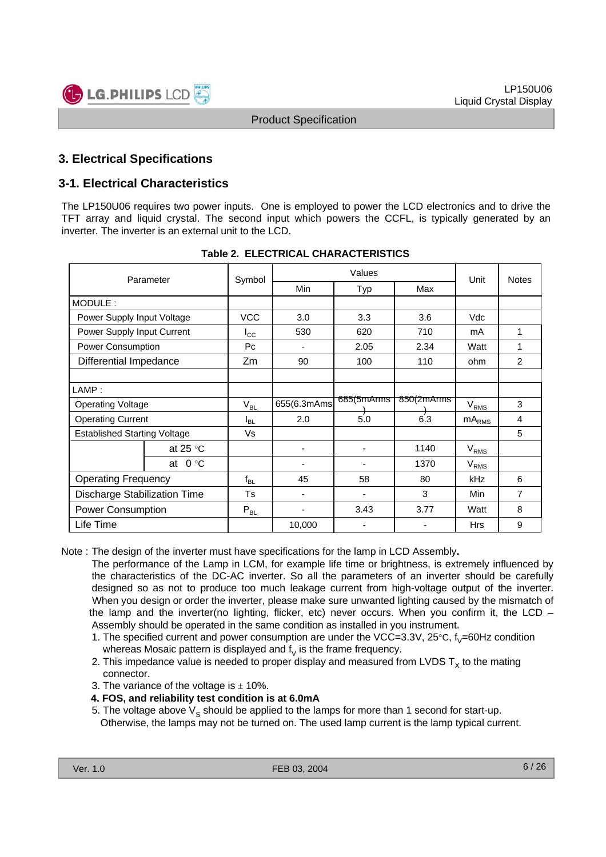# **3. Electrical Specifications**

# **3-1. Electrical Characteristics**

The LP150U06 requires two power inputs. One is employed to power the LCD electronics and to drive the TFT array and liquid crystal. The second input which powers the CCFL, is typically generated by an inverter. The inverter is an external unit to the LCD.

| Parameter                           |                   | Symbol       | Values      |            |            | Unit           | <b>Notes</b> |
|-------------------------------------|-------------------|--------------|-------------|------------|------------|----------------|--------------|
|                                     |                   |              | <b>Min</b>  | Typ        | Max        |                |              |
| MODULE:                             |                   |              |             |            |            |                |              |
| Power Supply Input Voltage          |                   | <b>VCC</b>   | 3.0         | 3.3        | 3.6        | Vdc            |              |
| Power Supply Input Current          |                   | $I_{\rm CC}$ | 530         | 620        | 710        | mA             | 1            |
| Power Consumption                   |                   | Pc           |             | 2.05       | 2.34       | Watt           | 1            |
| Differential Impedance              |                   | Zm           | 90          | 100        | 110        | ohm            | 2            |
|                                     |                   |              |             |            |            |                |              |
| LAMP:                               |                   |              |             |            |            |                |              |
| <b>Operating Voltage</b>            |                   | $V_{BL}$     | 655(6.3mAms | 685(5mArms | 850(2mArms | $V_{RMS}$      | 3            |
| <b>Operating Current</b>            |                   | $I_{BL}$     | 2.0         | 5.0        | 6'3        | $mA_{\rm RMS}$ | 4            |
| <b>Established Starting Voltage</b> |                   | Vs           |             |            |            |                | 5            |
|                                     | at 25 $\degree$ C |              | -           | ٠          | 1140       | $V_{RMS}$      |              |
|                                     | at $0 °C$         |              |             |            | 1370       | $V_{RMS}$      |              |
| <b>Operating Frequency</b>          |                   | $f_{BL}$     | 45          | 58         | 80         | kHz            | 6            |
| <b>Discharge Stabilization Time</b> |                   | Ts           | ٠           | ٠          | 3          | <b>Min</b>     | 7            |
| <b>Power Consumption</b>            |                   | $P_{BL}$     | -           | 3.43       | 3.77       | Watt           | 8            |
| Life Time                           |                   |              | 10,000      | ٠          | ٠          | Hrs            | 9            |

|  |  | <b>Table 2. ELECTRICAL CHARACTERISTICS</b> |
|--|--|--------------------------------------------|
|--|--|--------------------------------------------|

Note : The design of the inverter must have specifications for the lamp in LCD Assembly**.**

The performance of the Lamp in LCM, for example life time or brightness, is extremely influenced by the characteristics of the DC-AC inverter. So all the parameters of an inverter should be carefully designed so as not to produce too much leakage current from high-voltage output of the inverter. When you design or order the inverter, please make sure unwanted lighting caused by the mismatch of the lamp and the inverter(no lighting, flicker, etc) never occurs. When you confirm it, the LCD – Assembly should be operated in the same condition as installed in you instrument.

- 1. The specified current and power consumption are under the VCC=3.3V, 25 $\degree$ C, f<sub>V</sub>=60Hz condition whereas Mosaic pattern is displayed and  $\mathfrak{f}_\mathsf{V}$  is the frame frequency.
- 2. This impedance value is needed to proper display and measured from LVDS  $T<sub>x</sub>$  to the mating connector.
- 3. The variance of the voltage is  $\pm$  10%.

#### **4. FOS, and reliability test condition is at 6.0mA**

5. The voltage above  $V_S$  should be applied to the lamps for more than 1 second for start-up. Otherwise, the lamps may not be turned on. The used lamp current is the lamp typical current.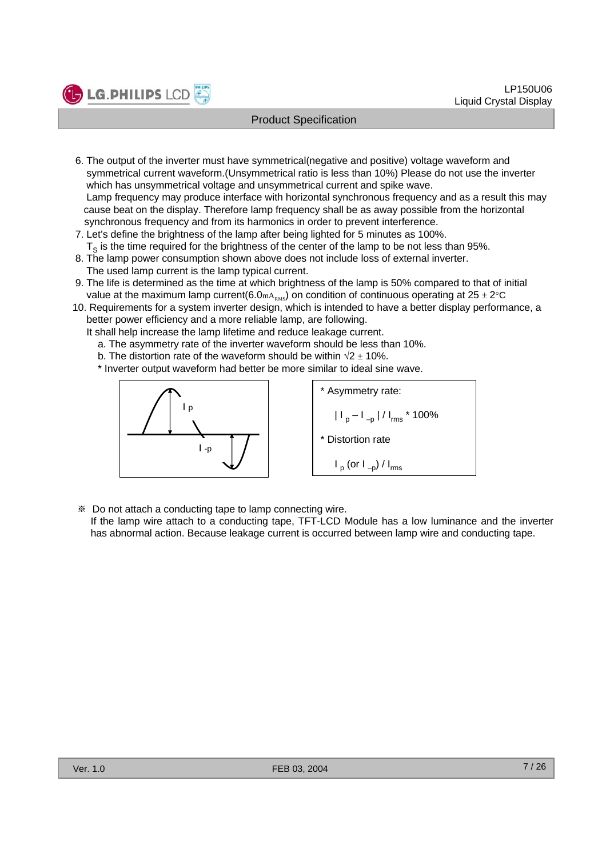- 6. The output of the inverter must have symmetrical(negative and positive) voltage waveform and symmetrical current waveform.(Unsymmetrical ratio is less than 10%) Please do not use the inverter which has unsymmetrical voltage and unsymmetrical current and spike wave. Lamp frequency may produce interface with horizontal synchronous frequency and as a result this may cause beat on the display. Therefore lamp frequency shall be as away possible from the horizontal synchronous frequency and from its harmonics in order to prevent interference.
- 7. Let's define the brightness of the lamp after being lighted for 5 minutes as 100%.  $T<sub>s</sub>$  is the time required for the brightness of the center of the lamp to be not less than 95%.
- 8. The lamp power consumption shown above does not include loss of external inverter. The used lamp current is the lamp typical current.
- 9. The life is determined as the time at which brightness of the lamp is 50% compared to that of initial value at the maximum lamp current(6.0mA<sub>RMS</sub>) on condition of continuous operating at 25  $\pm$  2°C
- 10. Requirements for a system inverter design, which is intended to have a better display performance, a better power efficiency and a more reliable lamp, are following.
	- It shall help increase the lamp lifetime and reduce leakage current.
		- a. The asymmetry rate of the inverter waveform should be less than 10%.
		- b. The distortion rate of the waveform should be within  $\sqrt{2} \pm 10\%$ .

\* Inverter output waveform had better be more similar to ideal sine wave.



**LG.PHILIPS LCD** 

\* Asymmetry rate:  
\n
$$
|I_{p} - I_{-p}| / I_{rms} * 100\%
$$
\n\* Distortion rate  
\n
$$
I_{p} (or I_{-p}) / I_{rms}
$$

※ Do not attach a conducting tape to lamp connecting wire.

If the lamp wire attach to a conducting tape, TFT-LCD Module has a low luminance and the inverter has abnormal action. Because leakage current is occurred between lamp wire and conducting tape.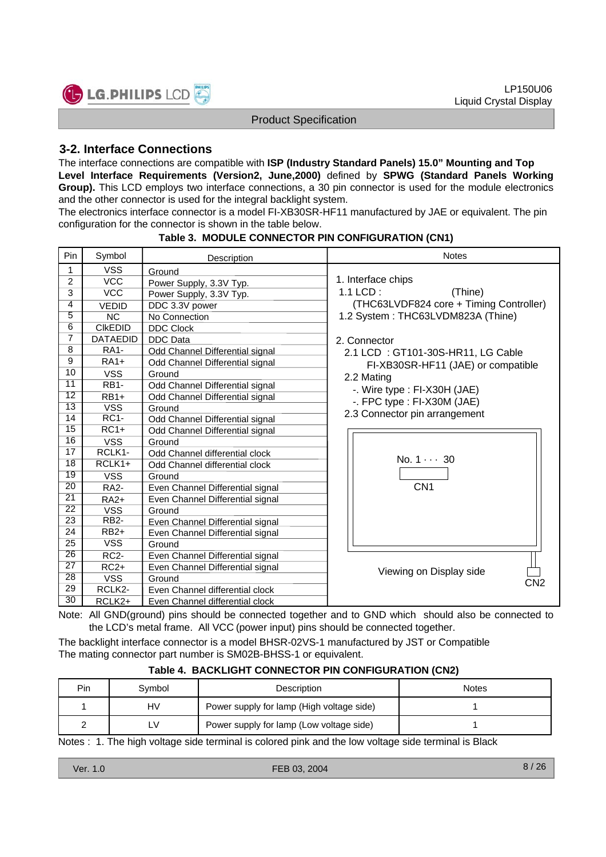

# **3-2. Interface Connections**

The interface connections are compatible with **ISP (Industry Standard Panels) 15.0" Mounting and Top Level Interface Requirements (Version2, June,2000)** defined by **SPWG (Standard Panels Working** Group). This LCD employs two interface connections, a 30 pin connector is used for the module electronics and the other connector is used for the integral backlight system.

The electronics interface connector is a model FI-XB30SR-HF11 manufactured by JAE or equivalent. The pin configuration for the connector is shown in the table below.

| Pin             | Symbol                  | Description                      | <b>Notes</b>                            |  |  |
|-----------------|-------------------------|----------------------------------|-----------------------------------------|--|--|
| 1               | <b>VSS</b>              | Ground                           |                                         |  |  |
| 2               | <b>VCC</b>              | Power Supply, 3.3V Typ.          | 1. Interface chips                      |  |  |
| 3               | $\overline{VCC}$        | Power Supply, 3.3V Typ.          | $1.1$ LCD:<br>(Thine)                   |  |  |
| 4               | <b>VEDID</b>            | DDC 3.3V power                   | (THC63LVDF824 core + Timing Controller) |  |  |
| $\overline{5}$  | <b>NC</b>               | No Connection                    | 1.2 System: THC63LVDM823A (Thine)       |  |  |
| 6               | <b>CIKEDID</b>          | <b>DDC Clock</b>                 |                                         |  |  |
| 7               | <b>DATAEDID</b>         | <b>DDC</b> Data                  | 2. Connector                            |  |  |
| 8               | <b>RA1-</b>             | Odd Channel Differential signal  | 2.1 LCD: GT101-30S-HR11, LG Cable       |  |  |
| 9               | $RA1+$                  | Odd Channel Differential signal  | FI-XB30SR-HF11 (JAE) or compatible      |  |  |
| 10              | <b>VSS</b>              | Ground                           | 2.2 Mating                              |  |  |
| $\overline{11}$ | <b>RB1-</b>             | Odd Channel Differential signal  | -. Wire type : FI-X30H (JAE)            |  |  |
| $\overline{12}$ | $RB1+$                  | Odd Channel Differential signal  | -. FPC type : FI-X30M (JAE)             |  |  |
| $\overline{13}$ | $\overline{\text{VSS}}$ | Ground                           | 2.3 Connector pin arrangement           |  |  |
| 14              | $RC1-$                  | Odd Channel Differential signal  |                                         |  |  |
| 15              | $RC1+$                  | Odd Channel Differential signal  |                                         |  |  |
| 16              | <b>VSS</b>              | Ground                           |                                         |  |  |
| 17              | RCLK1-                  | Odd Channel differential clock   | $No. 1 \cdots 30$                       |  |  |
| $\overline{18}$ | $RCLK1+$                | Odd Channel differential clock   |                                         |  |  |
| 19              | <b>VSS</b>              | Ground                           |                                         |  |  |
| $\overline{20}$ | <b>RA2-</b>             | Even Channel Differential signal | CN <sub>1</sub>                         |  |  |
| $\overline{21}$ | <b>RA2+</b>             | Even Channel Differential signal |                                         |  |  |
| $\overline{22}$ | <b>VSS</b>              | Ground                           |                                         |  |  |
| $\overline{23}$ | RB <sub>2</sub> -       | Even Channel Differential signal |                                         |  |  |
| 24              | $RB2+$                  | Even Channel Differential signal |                                         |  |  |
| $\overline{25}$ | <b>VSS</b>              | Ground                           |                                         |  |  |
| $\overline{26}$ | $RC2-$                  | Even Channel Differential signal |                                         |  |  |
| $\overline{27}$ | $RC2+$                  | Even Channel Differential signal | Viewing on Display side                 |  |  |
| $\overline{28}$ | <b>VSS</b>              | Ground                           | CN <sub>2</sub>                         |  |  |
| 29              | RCLK2-                  | Even Channel differential clock  |                                         |  |  |
| $\overline{30}$ | RCLK2+                  | Even Channel differential clock  |                                         |  |  |

#### **Table 3. MODULE CONNECTOR PIN CONFIGURATION (CN1)**

Note: All GND(ground) pins should be connected together and to GND which should also be connected to the LCD's metal frame. All VCC (power input) pins should be connected together.

The backlight interface connector is a model BHSR-02VS-1 manufactured by JST or Compatible The mating connector part number is SM02B-BHSS-1 or equivalent.

| Pin | Symbol | Description                               | <b>Notes</b> |
|-----|--------|-------------------------------------------|--------------|
|     | HV     | Power supply for lamp (High voltage side) |              |
|     | LV     | Power supply for lamp (Low voltage side)  |              |

Notes : 1. The high voltage side terminal is colored pink and the low voltage side terminal is Black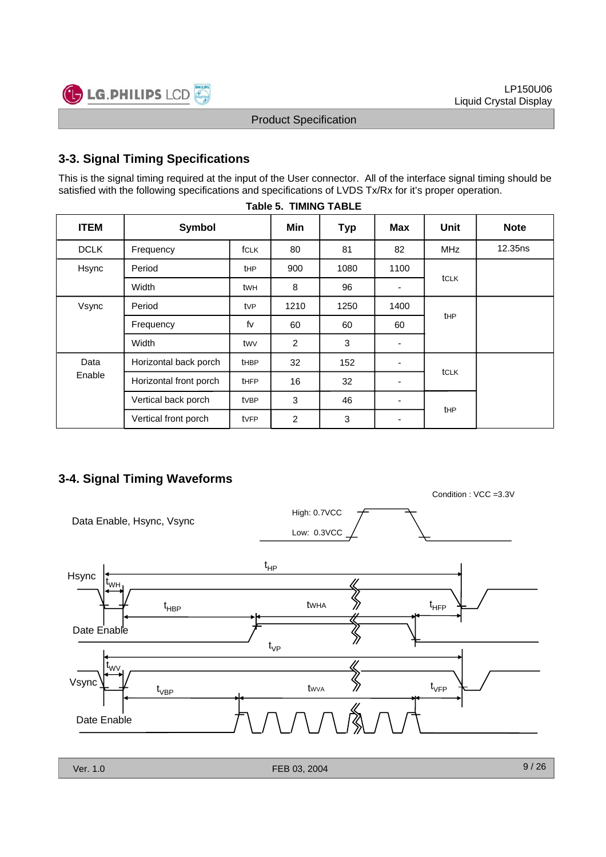Condition : VCC =3.3V



#### Product Specification

# **3-3. Signal Timing Specifications**

This is the signal timing required at the input of the User connector. All of the interface signal timing should be satisfied with the following specifications and specifications of LVDS Tx/Rx for it's proper operation.

|             | IUNIV VI               |             |                |            |                          |             |             |  |  |  |  |  |  |  |
|-------------|------------------------|-------------|----------------|------------|--------------------------|-------------|-------------|--|--|--|--|--|--|--|
| <b>ITEM</b> | Symbol                 |             | Min            | <b>Typ</b> | <b>Max</b>               | <b>Unit</b> | <b>Note</b> |  |  |  |  |  |  |  |
| <b>DCLK</b> | Frequency              | fCLK        | 80             | 81         | 82                       | <b>MHz</b>  | 12.35ns     |  |  |  |  |  |  |  |
| Hsync       | Period                 | <b>tHP</b>  | 900            | 1080       | 1100                     |             |             |  |  |  |  |  |  |  |
|             | Width                  | twh         | 8              | 96         | $\overline{\phantom{0}}$ | tCLK        |             |  |  |  |  |  |  |  |
| Vsync       | Period                 | tvP         | 1210           | 1250       | 1400                     |             |             |  |  |  |  |  |  |  |
|             | Frequency              | fv          | 60             | 60         | 60                       | <b>t</b> HP |             |  |  |  |  |  |  |  |
|             | Width                  | twy         | 2              | 3          | ۰                        |             |             |  |  |  |  |  |  |  |
| Data        | Horizontal back porch  | <b>tHBP</b> | 32             | 152        |                          |             |             |  |  |  |  |  |  |  |
| Enable      | Horizontal front porch | <b>tHFP</b> | 16             | 32         |                          | tCLK        |             |  |  |  |  |  |  |  |
|             | Vertical back porch    | tvBP        | 3              | 46         |                          |             |             |  |  |  |  |  |  |  |
|             | Vertical front porch   | tvFP        | $\overline{c}$ | 3          | $\blacksquare$           | tHP         |             |  |  |  |  |  |  |  |

#### **Table 5. TIMING TABLE**

# **3-4. Signal Timing Waveforms**

| Data Enable, Hsync, Vsync      | High: 0.7VCC<br>Low: 0.3VCC                    |
|--------------------------------|------------------------------------------------|
| Hsync<br>$L_{WH}$              | $t_{HP}$<br>$t_{HFP}$<br>twha<br>$t_{\sf HBP}$ |
| Date Enable<br>$t_{\text{WV}}$ | $t_{\rm VP}$                                   |
| Vsync<br>Date Enable           | $t_{\rm VFP}$<br>twva<br>$t_{\rm VBP}$         |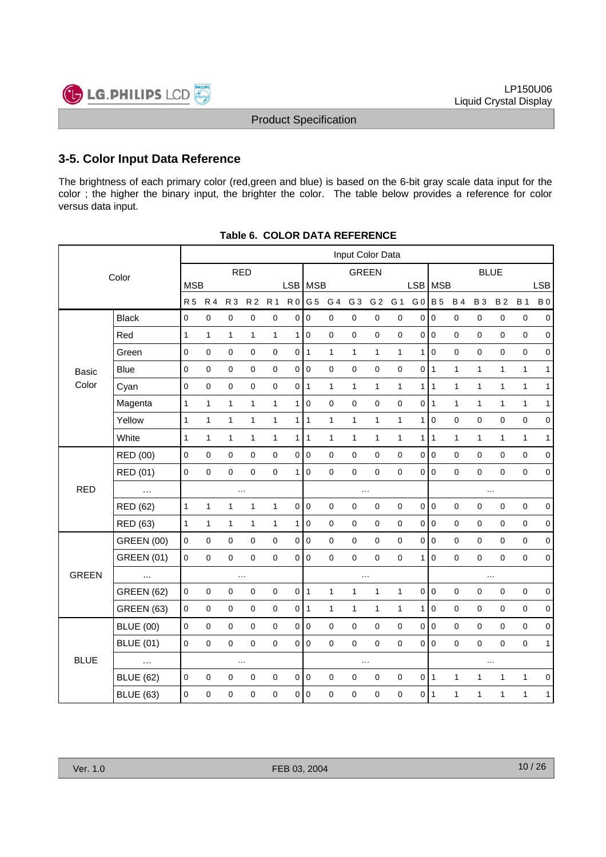

# **3-5. Color Input Data Reference**

The brightness of each primary color (red,green and blue) is based on the 6-bit gray scale data input for the color ; the higher the binary input, the brighter the color. The table below provides a reference for color versus data input.

|              | Input Color Data  |              |              |                |              |              |                |                |                     |                |                     |              |                |                |              |                |              |              |                  |
|--------------|-------------------|--------------|--------------|----------------|--------------|--------------|----------------|----------------|---------------------|----------------|---------------------|--------------|----------------|----------------|--------------|----------------|--------------|--------------|------------------|
|              | Color             |              |              | <b>RED</b>     |              |              |                | <b>GREEN</b>   |                     |                |                     |              |                | <b>BLUE</b>    |              |                |              |              |                  |
|              |                   | <b>MSB</b>   |              |                |              |              | LSB   MSB      |                |                     |                |                     |              | <b>LSB</b>     | MSB            |              |                |              |              | <b>LSB</b>       |
|              |                   | <b>R5</b>    | <b>R4</b>    | R <sub>3</sub> | <b>R2</b>    | <b>R1</b>    | R <sub>0</sub> | G 5            | G 4                 | G <sub>3</sub> | G <sub>2</sub>      | G 1          | G <sub>0</sub> | <b>B</b> 5     | <b>B4</b>    | <b>B3</b>      | <b>B2</b>    | <b>B</b> 1   | <b>B</b> 0       |
|              | <b>Black</b>      | $\pmb{0}$    | $\pmb{0}$    | 0              | $\pmb{0}$    | $\pmb{0}$    | 0              | $\pmb{0}$      | $\mathsf{O}\xspace$ | $\pmb{0}$      | $\mathsf 0$         | $\pmb{0}$    | $\overline{0}$ | $\pmb{0}$      | 0            | $\pmb{0}$      | $\pmb{0}$    | $\pmb{0}$    | $\mathbf 0$      |
|              | Red               | $\mathbf{1}$ | $\mathbf{1}$ | $\mathbf{1}$   | $\mathbf{1}$ | $\mathbf{1}$ | 1              | $\pmb{0}$      | $\mathbf 0$         | $\pmb{0}$      | $\mathsf 0$         | $\mathbf 0$  | $\mathbf 0$    | $\overline{0}$ | 0            | 0              | $\pmb{0}$    | $\pmb{0}$    | $\pmb{0}$        |
|              | Green             | $\mathbf 0$  | $\pmb{0}$    | $\pmb{0}$      | $\pmb{0}$    | $\pmb{0}$    | 0 1            |                | $\mathbf{1}$        | $\mathbf{1}$   | $\mathbf{1}$        | $\mathbf{1}$ | $\mathbf{1}$   | $\mathbf 0$    | $\pmb{0}$    | $\mathbf 0$    | $\mathbf 0$  | $\mathsf 0$  | $\mathbf 0$      |
| Basic        | <b>Blue</b>       | $\pmb{0}$    | $\pmb{0}$    | $\mathsf 0$    | $\mathbf 0$  | $\pmb{0}$    | 0 0            |                | $\mathbf 0$         | $\pmb{0}$      | $\mathsf 0$         | $\mathbf 0$  | $\pmb{0}$      | $\vert$ 1      | $\mathbf{1}$ | $\mathbf{1}$   | $\mathbf{1}$ | $\mathbf{1}$ | $\mathbf{1}$     |
| Color        | Cyan              | $\mathbf 0$  | $\pmb{0}$    | $\pmb{0}$      | $\mathbf 0$  | $\pmb{0}$    | 0 1            |                | $\mathbf{1}$        | $\mathbf{1}$   | $\mathbf{1}$        | $\mathbf{1}$ | $\mathbf{1}$   | $\vert$ 1      | $\mathbf{1}$ | $\mathbf{1}$   | $\mathbf{1}$ | $\mathbf{1}$ | $\mathbf{1}$     |
|              | Magenta           | $\mathbf{1}$ | $\mathbf{1}$ | $\mathbf{1}$   | $\mathbf{1}$ | $\mathbf{1}$ | 1              | $\pmb{0}$      | $\pmb{0}$           | $\pmb{0}$      | $\mathsf 0$         | $\pmb{0}$    | 0              | $\vert$ 1      | $\mathbf{1}$ | 1              | $\mathbf{1}$ | $\mathbf{1}$ | $\mathbf{1}$     |
|              | Yellow            | $\mathbf{1}$ | $\mathbf{1}$ | 1              | $\mathbf{1}$ | $\mathbf{1}$ | 1              | $\mathbf{1}$   | $\mathbf{1}$        | $\mathbf{1}$   | $\mathbf{1}$        | $\mathbf{1}$ | $\mathbf{1}$   | $\pmb{0}$      | 0            | $\mathbf 0$    | $\mathbf 0$  | $\mathbf 0$  | $\pmb{0}$        |
|              | White             | $\mathbf{1}$ | $\mathbf{1}$ | 1              | $\mathbf{1}$ | 1            | 1              | $\mathbf{1}$   | $\mathbf{1}$        | $\mathbf{1}$   | $\mathbf{1}$        | $\mathbf{1}$ | $\mathbf{1}$   | $\mathbf{1}$   | $\mathbf{1}$ | $\mathbf{1}$   | $\mathbf{1}$ | $\mathbf{1}$ | $\mathbf{1}$     |
|              | RED (00)          | $\mathbf 0$  | $\pmb{0}$    | 0              | $\mathbf 0$  | $\pmb{0}$    | 0              | $\overline{0}$ | $\mathbf 0$         | $\mathbf 0$    | $\mathsf 0$         | $\pmb{0}$    | 0              | $\overline{0}$ | $\mathsf 0$  | $\mathbf 0$    | $\mathbf 0$  | $\mathbf 0$  | $\pmb{0}$        |
|              | RED (01)          | $\pmb{0}$    | $\pmb{0}$    | $\pmb{0}$      | $\mathbf 0$  | $\pmb{0}$    | 1              | $\pmb{0}$      | $\pmb{0}$           | $\pmb{0}$      | $\mathsf 0$         | $\mathbf 0$  | $\mathbf 0$    | $\overline{0}$ | $\pmb{0}$    | $\mathbf 0$    | $\mathbf 0$  | $\pmb{0}$    | $\mathbf 0$      |
| <b>RED</b>   | $\ldots$          | $\ddotsc$    |              |                |              |              |                |                | $\ldots$            |                |                     |              |                |                |              | $\ldots$       |              |              |                  |
|              | RED (62)          | $\mathbf{1}$ | $\mathbf{1}$ | $\mathbf{1}$   | $\mathbf{1}$ | $\mathbf{1}$ | 0              | $\pmb{0}$      | $\pmb{0}$           | $\pmb{0}$      | $\mathsf{O}\xspace$ | $\pmb{0}$    | $\mathbf 0$    | $\overline{0}$ | $\pmb{0}$    | $\pmb{0}$      | $\pmb{0}$    | $\pmb{0}$    | $\pmb{0}$        |
|              | RED (63)          | $\mathbf{1}$ | $\mathbf{1}$ | $\mathbf{1}$   | $\mathbf{1}$ | $\mathbf{1}$ | 1              | $\mathbf 0$    | $\mathbf 0$         | $\mathbf 0$    | $\mathsf 0$         | 0            | $\mathbf 0$    | $\mathbf 0$    | 0            | $\mathbf 0$    | 0            | $\pmb{0}$    | $\mathbf 0$      |
|              | <b>GREEN (00)</b> | $\Omega$     | $\mathbf 0$  | 0              | $\mathbf 0$  | $\pmb{0}$    | $\mathbf 0$    | $\overline{0}$ | $\mathbf{0}$        | $\mathbf 0$    | $\mathsf{O}\xspace$ | $\mathbf 0$  | $\mathbf 0$    | $\overline{0}$ | $\pmb{0}$    | $\Omega$       | $\mathbf 0$  | $\pmb{0}$    | $\pmb{0}$        |
|              | <b>GREEN (01)</b> | $\mathbf 0$  | $\mathbf 0$  | $\pmb{0}$      | $\mathbf 0$  | $\pmb{0}$    | 0              | l o            | $\mathbf 0$         | $\mathbf 0$    | $\mathsf{O}\xspace$ | $\mathbf 0$  | $\mathbf{1}$   | $\mathbf 0$    | $\mathsf 0$  | $\mathbf 0$    | $\mathbf 0$  | $\pmb{0}$    | $\mathbf 0$      |
| <b>GREEN</b> | $\cdots$          |              |              | $\ddotsc$      |              |              |                |                |                     | $\ldots$       |                     |              |                |                |              |                | $\ddotsc$    |              |                  |
|              | <b>GREEN (62)</b> | $\pmb{0}$    | $\pmb{0}$    | $\mathbf 0$    | $\pmb{0}$    | $\pmb{0}$    | $0$   1        |                | $\mathbf{1}$        | $\mathbf{1}$   | $\mathbf{1}$        | $\mathbf{1}$ | $\mathbf 0$    | $\overline{0}$ | $\pmb{0}$    | $\mathbf 0$    | $\mathbf 0$  | $\mathbf 0$  | $\pmb{0}$        |
|              | <b>GREEN (63)</b> | $\mathbf 0$  | $\mathbf 0$  | 0              | $\mathbf 0$  | $\pmb{0}$    | 0 1            |                | $\mathbf{1}$        | $\mathbf{1}$   | $\mathbf{1}$        | $\mathbf{1}$ | $\mathbf{1}$   | $\mathsf 0$    | 0            | $\mathbf 0$    | $\mathbf 0$  | $\pmb{0}$    | $\boldsymbol{0}$ |
|              | <b>BLUE (00)</b>  | $\mathbf 0$  | $\pmb{0}$    | 0              | $\mathbf 0$  | $\pmb{0}$    | $\overline{0}$ | $\overline{0}$ | $\mathbf 0$         | $\pmb{0}$      | $\mathsf{O}\xspace$ | 0            | $\mathsf 0$    | $\overline{0}$ | $\mathsf 0$  | $\mathbf 0$    | $\mathbf 0$  | $\pmb{0}$    | $\pmb{0}$        |
|              | <b>BLUE (01)</b>  | $\mathbf 0$  | $\pmb{0}$    | $\pmb{0}$      | $\mathbf 0$  | $\pmb{0}$    |                | 0 0            | $\mathbf{0}$        | $\pmb{0}$      | $\mathsf{O}\xspace$ | $\mathbf 0$  | 0              | $\overline{0}$ | $\mathsf 0$  | $\overline{0}$ | $\mathbf 0$  | $\pmb{0}$    | $\mathbf{1}$     |
| <b>BLUE</b>  | $\ldots$          |              |              | $\ddotsc$      |              |              |                | $\cdots$       |                     |                |                     |              |                |                |              |                |              |              |                  |
|              | <b>BLUE (62)</b>  | $\mathbf 0$  | $\pmb{0}$    | $\pmb{0}$      | $\pmb{0}$    | $\pmb{0}$    | $\pmb{0}$      | $\overline{0}$ | $\pmb{0}$           | $\pmb{0}$      | $\mathsf 0$         | $\pmb{0}$    | $\pmb{0}$      | $\vert$ 1      | $\mathbf{1}$ | 1              | $\mathbf{1}$ | $\mathbf{1}$ | $\pmb{0}$        |
|              | <b>BLUE (63)</b>  | 0            | $\pmb{0}$    | 0              | 0            | 0            | 0              | $\mathbf 0$    | 0                   | $\pmb{0}$      | 0                   | 0            | 0              | $\mathbf{1}$   | $\mathbf{1}$ | 1              | 1            | $\mathbf{1}$ | $\mathbf{1}$     |

#### **Table 6. COLOR DATA REFERENCE**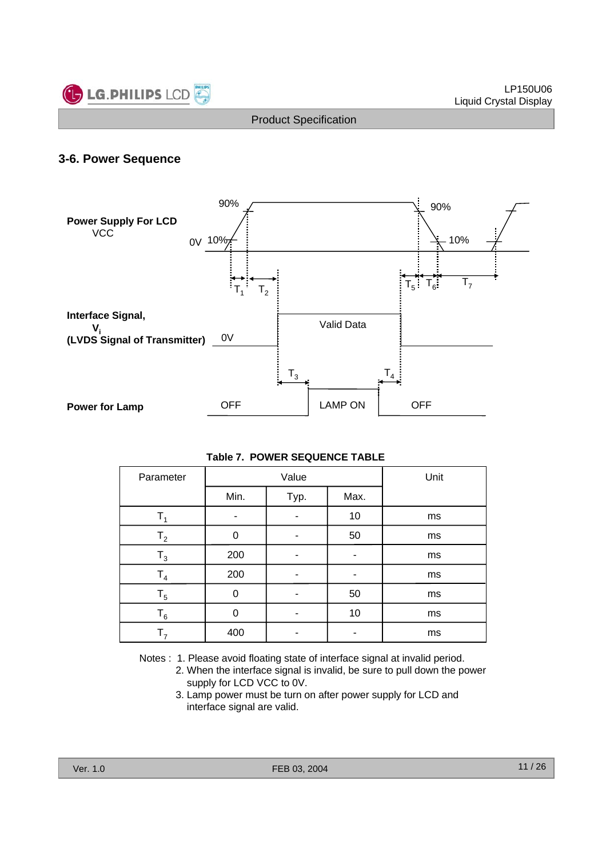

#### **3-6. Power Sequence**



| Table 7. POWER SEQUENCE TABLE |
|-------------------------------|
|-------------------------------|

| Parameter      |          | Value | Unit |    |
|----------------|----------|-------|------|----|
|                | Min.     | Typ.  | Max. |    |
| Т,             | -        |       | 10   | ms |
| $\mathsf{T}_2$ | 0        |       | 50   | ms |
| $\mathsf{T}_3$ | 200      |       |      | ms |
| T <sub>4</sub> | 200      |       |      | ms |
| $T_5$          | $\Omega$ |       | 50   | ms |
| $\mathsf{T}_6$ | $\Omega$ |       | 10   | ms |
| т,             | 400      |       |      | ms |

Notes : 1. Please avoid floating state of interface signal at invalid period.

- 2. When the interface signal is invalid, be sure to pull down the power supply for LCD VCC to 0V.
- 3. Lamp power must be turn on after power supply for LCD and interface signal are valid.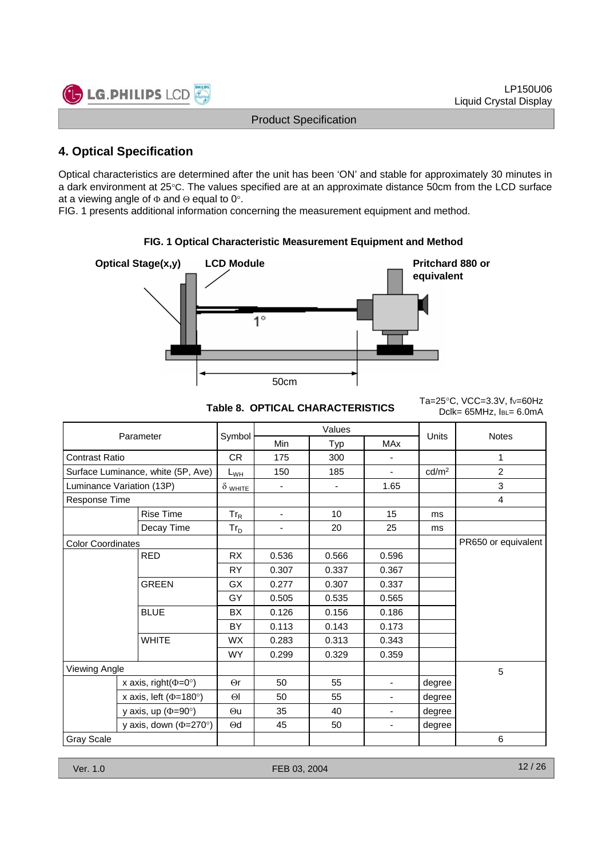

# **4. Optical Specification**

Optical characteristics are determined after the unit has been 'ON' and stable for approximately 30 minutes in a dark environment at 25°C. The values specified are at an approximate distance 50cm from the LCD surface at a viewing angle of  $\Phi$  and  $\Theta$  equal to 0°.

FIG. 1 presents additional information concerning the measurement equipment and method.



**FIG. 1 Optical Characteristic Measurement Equipment and Method**

Table 8. OPTICAL CHARACTERISTICS<br>Dclk= 65MHz, IBL= 6.0mA

Ta=25 $°C$ , VCC=3.3V, fv=60Hz

|                              |                                    |                 |                          | Values |                          |                   |                     |
|------------------------------|------------------------------------|-----------------|--------------------------|--------|--------------------------|-------------------|---------------------|
|                              | Parameter                          | Symbol          | <b>Min</b>               | Typ    | <b>MAx</b>               | Units             | <b>Notes</b>        |
| <b>Contrast Ratio</b>        |                                    | <b>CR</b>       | 175                      | 300    | -                        |                   | 1                   |
|                              | Surface Luminance, white (5P, Ave) | L <sub>WH</sub> | 150                      | 185    | ÷.                       | cd/m <sup>2</sup> | $\overline{2}$      |
|                              | Luminance Variation (13P)          | $\delta$ white  |                          | ۰      | 1.65                     |                   | 3                   |
| Response Time                |                                    |                 |                          |        |                          |                   | $\overline{4}$      |
|                              | <b>Rise Time</b>                   | $Tr_R$          | $\overline{\phantom{a}}$ | 10     | 15                       | ms                |                     |
|                              | Decay Time                         | $Tr_D$          | $\overline{\phantom{a}}$ | 20     | 25                       | ms                |                     |
| <b>Color Coordinates</b>     |                                    |                 |                          |        |                          |                   | PR650 or equivalent |
|                              | <b>RED</b>                         | <b>RX</b>       | 0.536                    | 0.566  | 0.596                    |                   |                     |
|                              |                                    | <b>RY</b>       | 0.307                    | 0.337  | 0.367                    |                   |                     |
|                              | <b>GREEN</b>                       | <b>GX</b>       | 0.277                    | 0.307  | 0.337                    |                   |                     |
|                              |                                    | GY              | 0.505                    | 0.535  | 0.565                    |                   |                     |
|                              | <b>BLUE</b>                        | BX              | 0.126                    | 0.156  | 0.186                    |                   |                     |
|                              |                                    | BY              | 0.113                    | 0.143  | 0.173                    |                   |                     |
|                              | <b>WHITE</b>                       | <b>WX</b>       | 0.283                    | 0.313  | 0.343                    |                   |                     |
|                              |                                    | <b>WY</b>       | 0.299                    | 0.329  | 0.359                    |                   |                     |
| Viewing Angle                |                                    |                 |                          |        |                          |                   | 5                   |
|                              | x axis, right( $\Phi$ =0°)         | $\Theta$ r      | 50                       | 55     | $\overline{\phantom{a}}$ | degree            |                     |
|                              | x axis, left ( $\Phi$ =180°)       |                 | 50                       | 55     | Ξ.                       | degree            |                     |
|                              | y axis, up $(\Phi = 90^\circ)$     |                 | 35                       | 40     | $\overline{\phantom{a}}$ | degree            |                     |
| y axis, down ( $\Phi$ =270°) |                                    | $\Theta$ d      | 45                       | 50     | $\overline{\phantom{0}}$ | degree            |                     |
| <b>Gray Scale</b>            |                                    |                 |                          |        |                          |                   | 6                   |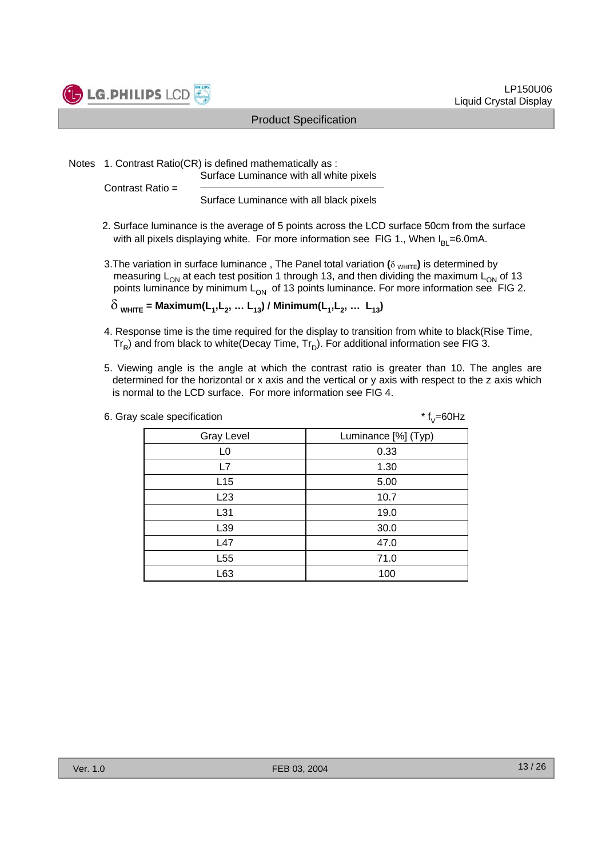

Notes 1. Contrast Ratio(CR) is defined mathematically as :

Surface Luminance with all white pixels

Contrast Ratio =

Surface Luminance with all black pixels

- 2. Surface luminance is the average of 5 points across the LCD surface 50cm from the surface with all pixels displaying white. For more information see FIG 1., When  $I_{B1}=6.0$ mA.
- 3. The variation in surface luminance, The Panel total variation (δ <sub>WHITF</sub>) is determined by measuring  $L_{ON}$  at each test position 1 through 13, and then dividing the maximum  $L_{ON}$  of 13 points luminance by minimum  $L_{ON}$  of 13 points luminance. For more information see FIG 2.

 $\delta$  <sub>WHITE</sub> = Maximum(L<sub>1</sub>, L<sub>2</sub>, ... L<sub>13</sub>) / Minimum(L<sub>1</sub>, L<sub>2</sub>, ... L<sub>13</sub>)

- 4. Response time is the time required for the display to transition from white to black(Rise Time,  $Tr_{\rm B}$ ) and from black to white(Decay Time,  $Tr_{\rm D}$ ). For additional information see FIG 3.
- 5. Viewing angle is the angle at which the contrast ratio is greater than 10. The angles are determined for the horizontal or x axis and the vertical or y axis with respect to the z axis which is normal to the LCD surface. For more information see FIG 4.

| 6. Gray scale specification | $*$ f <sub>V</sub> =60Hz |  |  |  |  |
|-----------------------------|--------------------------|--|--|--|--|
| <b>Gray Level</b>           | Luminance [%] (Typ)      |  |  |  |  |
| L <sub>0</sub>              | 0.33                     |  |  |  |  |
| L7                          | 1.30                     |  |  |  |  |
| L15                         | 5.00                     |  |  |  |  |
| L23                         | 10.7                     |  |  |  |  |
| L31                         | 19.0                     |  |  |  |  |
| L39                         | 30.0                     |  |  |  |  |
| L47                         | 47.0                     |  |  |  |  |
| L <sub>55</sub>             | 71.0                     |  |  |  |  |
| L63                         | 100                      |  |  |  |  |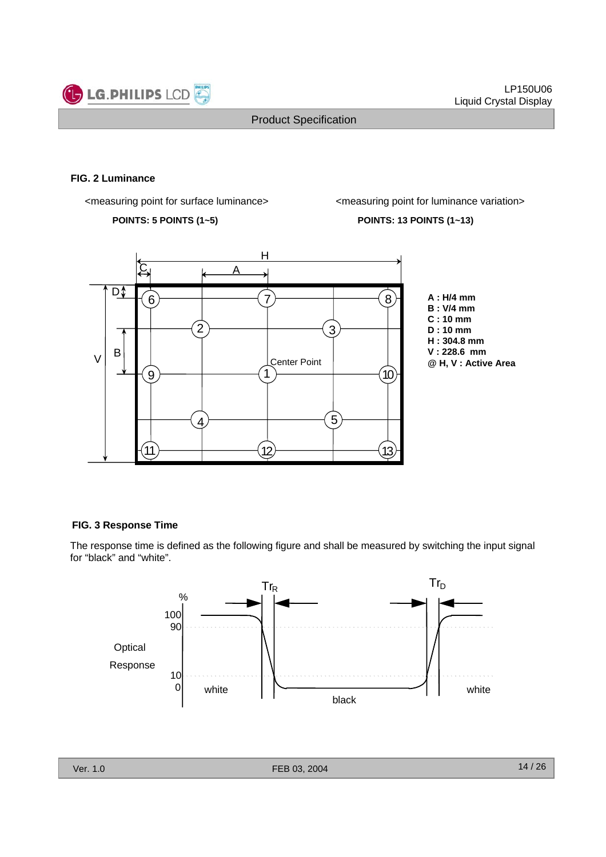

#### **FIG. 2 Luminance**

<measuring point for surface luminance> <measuring point for luminance variation>

**POINTS: 5 POINTS (1~5) POINTS: 13 POINTS (1~13)**



**A : H/4 mm B : V/4 mm C : 10 mm D : 10 mm H : 304.8 mm V : 228.6 mm @ H, V : Active Area**

#### **FIG. 3 Response Time**

The response time is defined as the following figure and shall be measured by switching the input signal for "black" and "white".

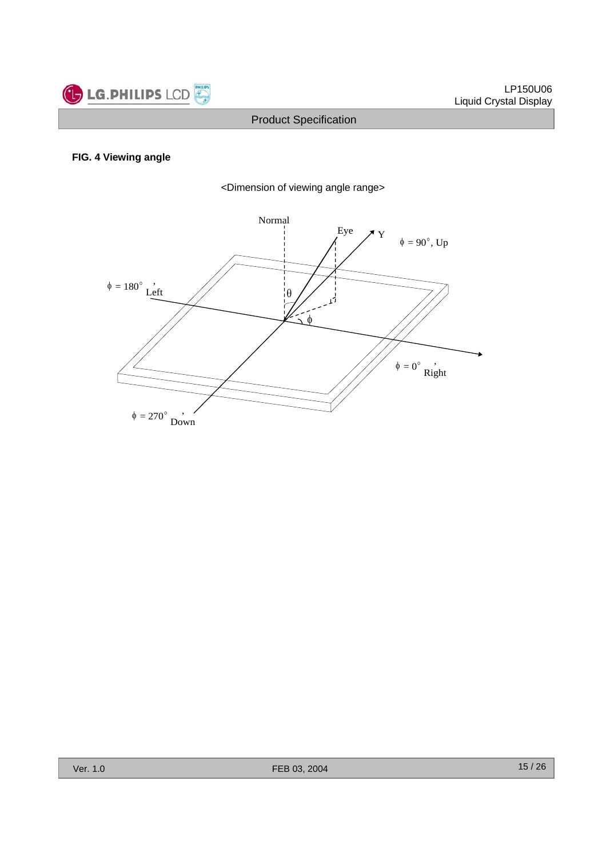

#### **FIG. 4 Viewing angle**

<Dimension of viewing angle range>

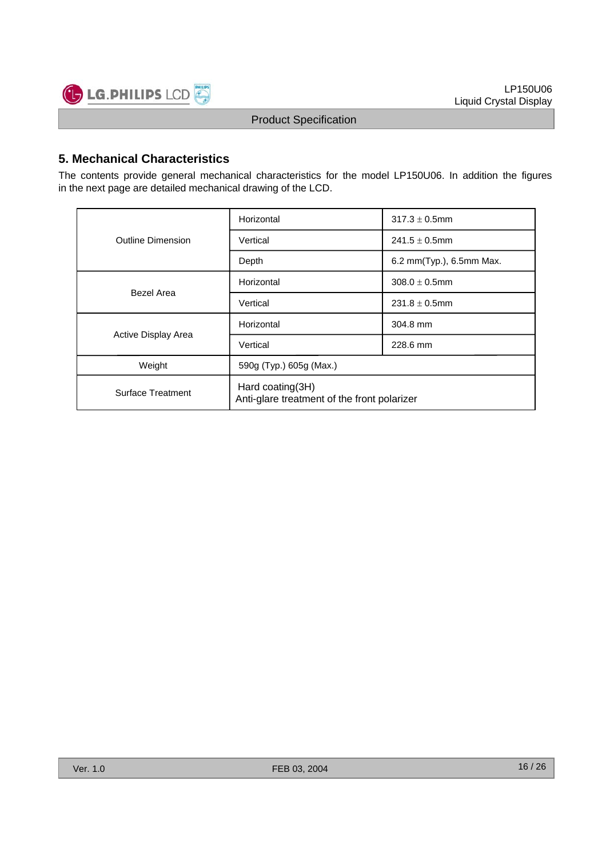

# **5. Mechanical Characteristics**

The contents provide general mechanical characteristics for the model LP150U06. In addition the figures in the next page are detailed mechanical drawing of the LCD.

|                          | Horizontal                                                      | $317.3 \pm 0.5$ mm       |  |  |  |  |
|--------------------------|-----------------------------------------------------------------|--------------------------|--|--|--|--|
| <b>Outline Dimension</b> | Vertical                                                        | $241.5 \pm 0.5$ mm       |  |  |  |  |
|                          | Depth                                                           | 6.2 mm(Typ.), 6.5mm Max. |  |  |  |  |
| Bezel Area               | Horizontal                                                      | $308.0 \pm 0.5$ mm       |  |  |  |  |
|                          | Vertical                                                        | $231.8 \pm 0.5$ mm       |  |  |  |  |
|                          | Horizontal                                                      | 304.8 mm                 |  |  |  |  |
| Active Display Area      | Vertical                                                        | 228.6 mm                 |  |  |  |  |
| Weight                   | 590g (Typ.) 605g (Max.)                                         |                          |  |  |  |  |
| <b>Surface Treatment</b> | Hard coating(3H)<br>Anti-glare treatment of the front polarizer |                          |  |  |  |  |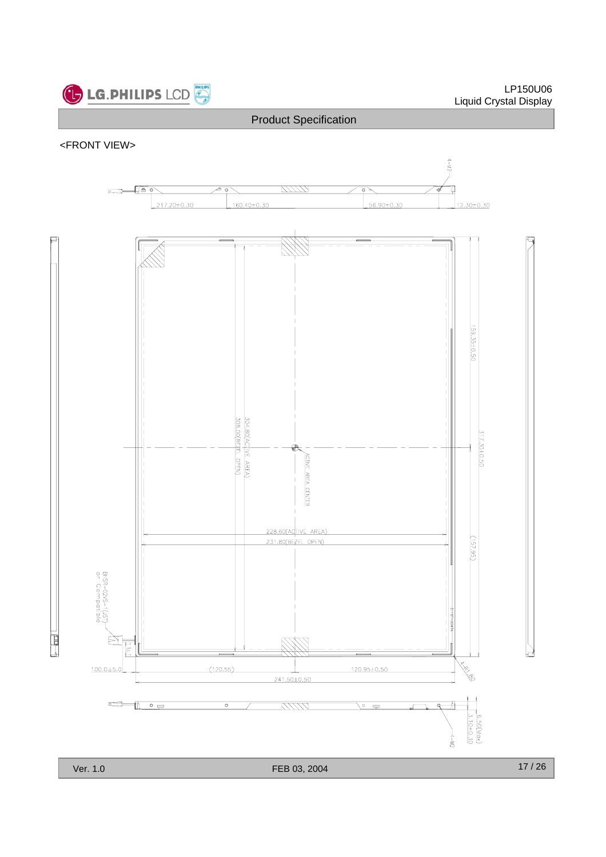

#### <FRONT VIEW>



Į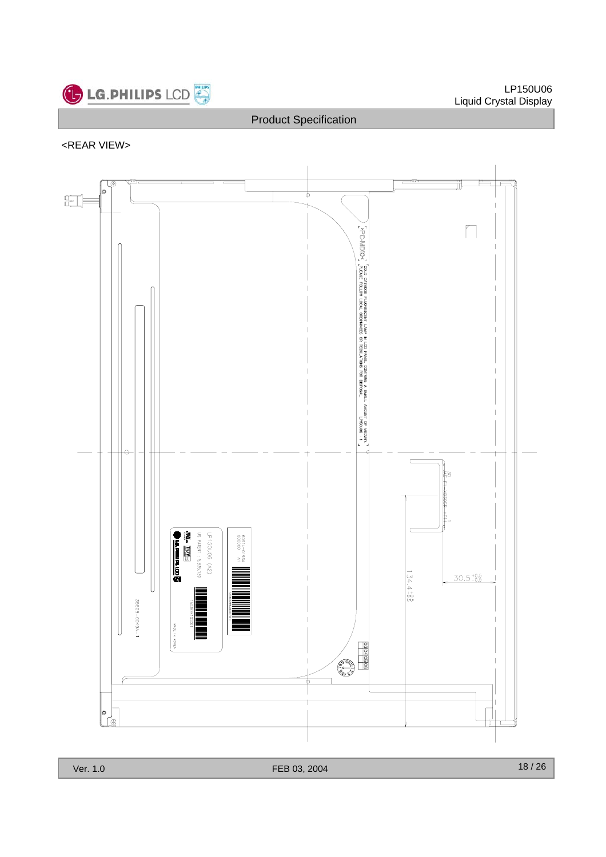

# <REAR VIEW>

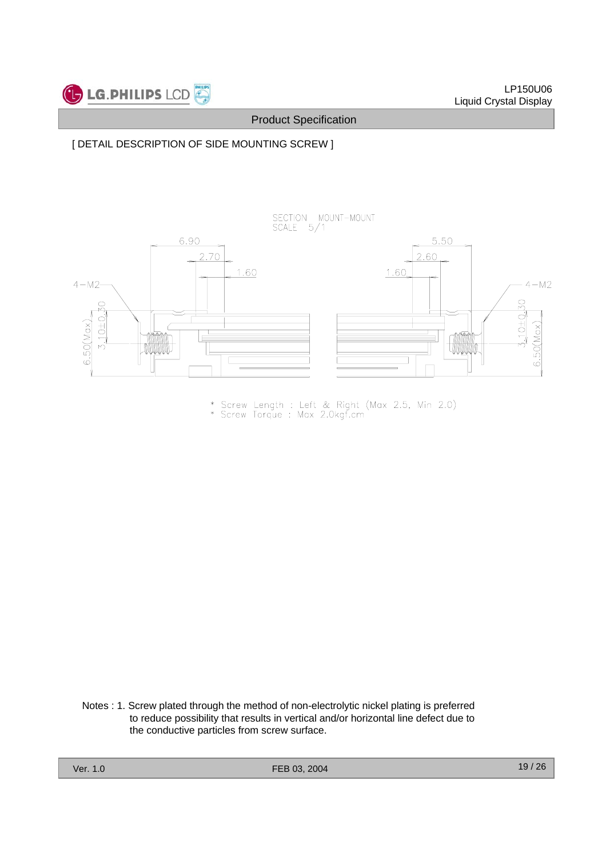

#### [ DETAIL DESCRIPTION OF SIDE MOUNTING SCREW ]



\* Screw Length : Left & Right (Max 2.5, Min 2.0)<br>\* Screw Torque : Max 2.0kgf.cm

Notes : 1. Screw plated through the method of non-electrolytic nickel plating is preferred to reduce possibility that results in vertical and/or horizontal line defect due to the conductive particles from screw surface.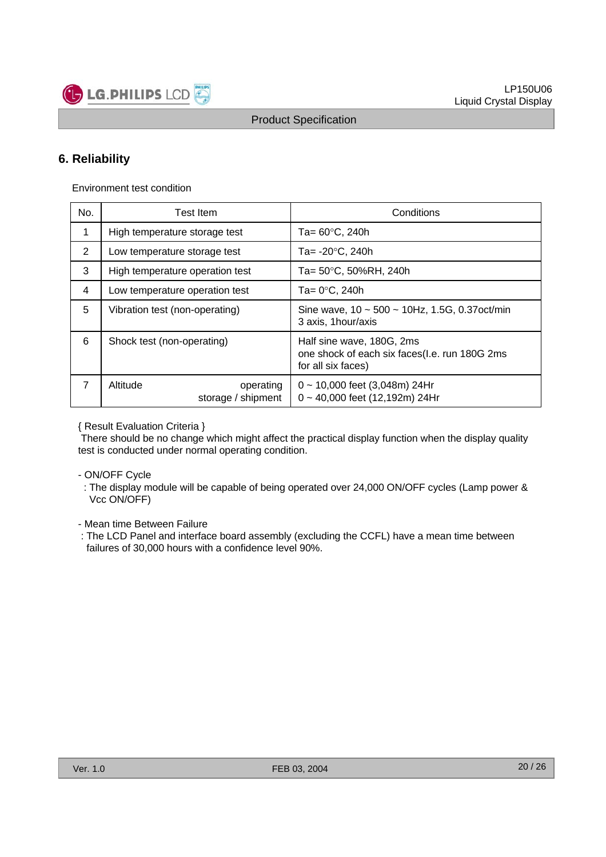

# **6. Reliability**

Environment test condition

**LG.PHILIPS LCD** 

| No.            | Test Item                                   | Conditions                                                                                       |  |  |  |  |  |
|----------------|---------------------------------------------|--------------------------------------------------------------------------------------------------|--|--|--|--|--|
| 1              | High temperature storage test               | Ta= 60°C, 240h                                                                                   |  |  |  |  |  |
| $\overline{2}$ | Low temperature storage test                | Ta= -20°C, 240h                                                                                  |  |  |  |  |  |
| 3              | High temperature operation test             | Ta= 50°C, 50%RH, 240h                                                                            |  |  |  |  |  |
| 4              | Low temperature operation test              | Ta= 0°C, 240h                                                                                    |  |  |  |  |  |
| 5              | Vibration test (non-operating)              | Sine wave, $10 \sim 500 \sim 10$ Hz, 1.5G, 0.37 oct/min<br>3 axis, 1 hour/axis                   |  |  |  |  |  |
| 6              | Shock test (non-operating)                  | Half sine wave, 180G, 2ms<br>one shock of each six faces(I.e. run 180G 2ms<br>for all six faces) |  |  |  |  |  |
| 7              | Altitude<br>operating<br>storage / shipment | $0 \sim 10,000$ feet (3,048m) 24Hr<br>$0 \sim 40,000$ feet (12,192m) 24Hr                        |  |  |  |  |  |

{ Result Evaluation Criteria }

There should be no change which might affect the practical display function when the display quality test is conducted under normal operating condition.

- ON/OFF Cycle
	- : The display module will be capable of being operated over 24,000 ON/OFF cycles (Lamp power & Vcc ON/OFF)

- Mean time Between Failure

: The LCD Panel and interface board assembly (excluding the CCFL) have a mean time between failures of 30,000 hours with a confidence level 90%.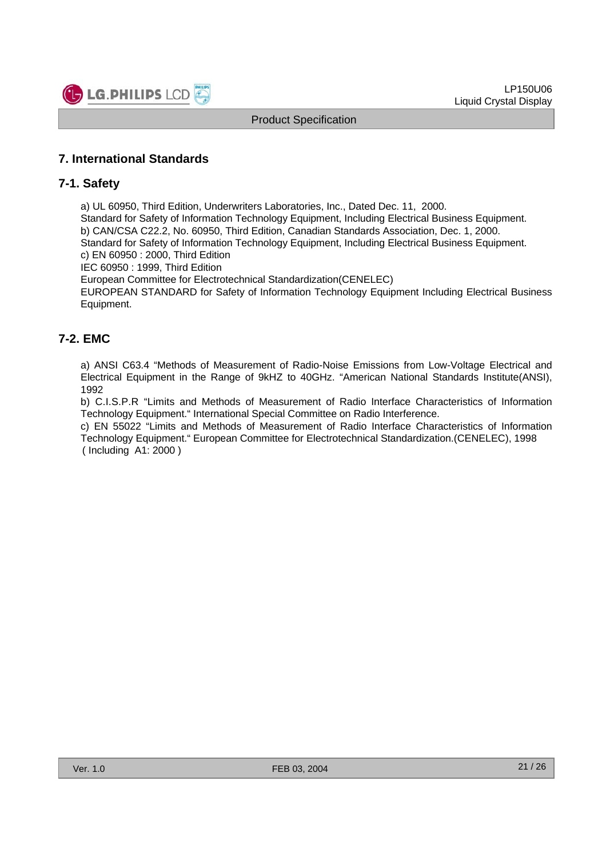

#### **7. International Standards**

#### **7-1. Safety**

a) UL 60950, Third Edition, Underwriters Laboratories, Inc., Dated Dec. 11, 2000.

Standard for Safety of Information Technology Equipment, Including Electrical Business Equipment.

b) CAN/CSA C22.2, No. 60950, Third Edition, Canadian Standards Association, Dec. 1, 2000.

Standard for Safety of Information Technology Equipment, Including Electrical Business Equipment.

c) EN 60950 : 2000, Third Edition

IEC 60950 : 1999, Third Edition

European Committee for Electrotechnical Standardization(CENELEC)

EUROPEAN STANDARD for Safety of Information Technology Equipment Including Electrical Business Equipment.

#### **7-2. EMC**

a) ANSI C63.4 "Methods of Measurement of Radio-Noise Emissions from Low-Voltage Electrical and Electrical Equipment in the Range of 9kHZ to 40GHz. "American National Standards Institute(ANSI), 1992

b) C.I.S.P.R "Limits and Methods of Measurement of Radio Interface Characteristics of Information Technology Equipment." International Special Committee on Radio Interference.

c) EN 55022 "Limits and Methods of Measurement of Radio Interface Characteristics of Information Technology Equipment." European Committee for Electrotechnical Standardization.(CENELEC), 1998 ( Including A1: 2000 )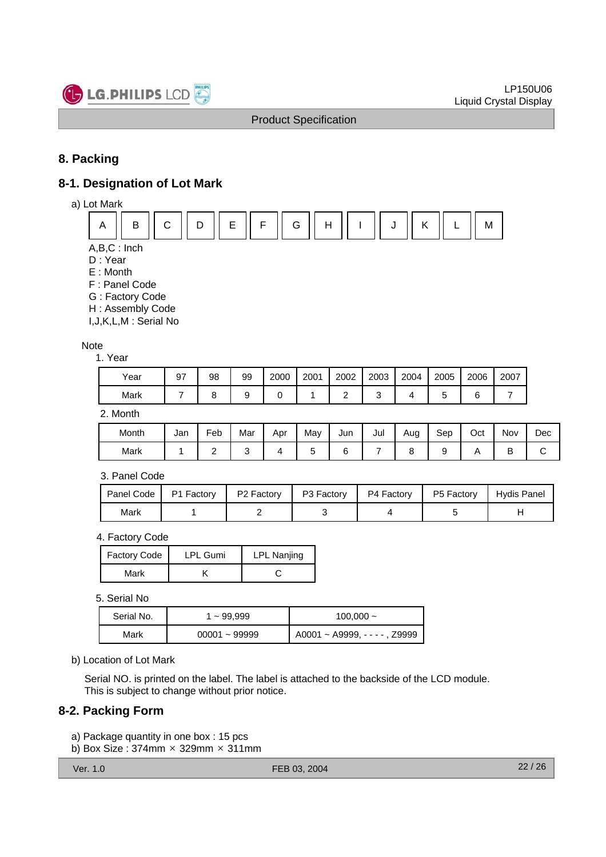

# **8. Packing**

# **8-1. Designation of Lot Mark**





D : Year

- E : Month
- F : Panel Code
- G : Factory Code
- H : Assembly Code

I,J,K,L,M : Serial No

#### Note

1. Year

| Year | 97 | 98 | 99 | 2000 | 2001 | 2002 | 2003 | 2004 | 2005 | 2006   | 2007 |
|------|----|----|----|------|------|------|------|------|------|--------|------|
| Mark |    |    |    |      |      |      |      |      |      | ⌒<br>∼ |      |

2. Month

| Month | Jan | Feb | . .<br>Mar | Apr | May | Jun | Jul | Aug | Sep | Oct | Nov | Dec |
|-------|-----|-----|------------|-----|-----|-----|-----|-----|-----|-----|-----|-----|
| Mark  |     | -   |            |     |     |     |     |     |     | . . | ◡   | ີ   |

3. Panel Code

| Panel Code I | P1 Factory | P <sub>2</sub> Factory | P3 Factory | P4 Factory | P5 Factory | Hydis Panel |
|--------------|------------|------------------------|------------|------------|------------|-------------|
| Mark         |            |                        |            |            |            |             |

4. Factory Code

| Factory Code | <b>LPL Gumi</b> | <b>LPL Nanjing</b> |
|--------------|-----------------|--------------------|
| Mark         |                 |                    |

#### 5. Serial No

| Serial No. | 1 ~ 99,999      | $100,000 -$                       |  |  |  |  |  |
|------------|-----------------|-----------------------------------|--|--|--|--|--|
| Mark       | $00001 - 99999$ | $A0001 - A9999$ , - - - - , Z9999 |  |  |  |  |  |

b) Location of Lot Mark

Serial NO. is printed on the label. The label is attached to the backside of the LCD module. This is subject to change without prior notice.

#### **8-2. Packing Form**

- a) Package quantity in one box : 15 pcs
- b) Box Size:  $374$ mm  $\times$  329mm  $\times$  311mm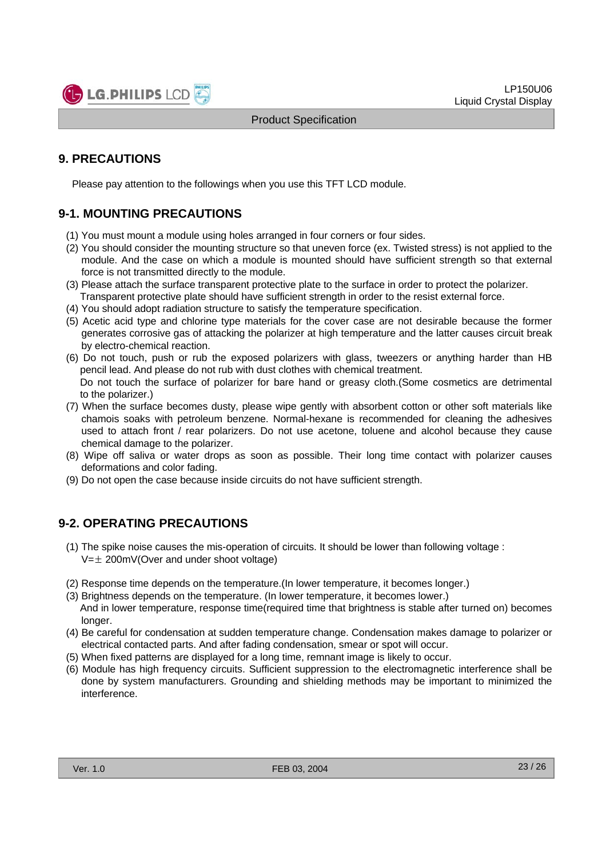

# **9. PRECAUTIONS**

Please pay attention to the followings when you use this TFT LCD module.

# **9-1. MOUNTING PRECAUTIONS**

- (1) You must mount a module using holes arranged in four corners or four sides.
- (2) You should consider the mounting structure so that uneven force (ex. Twisted stress) is not applied to the module. And the case on which a module is mounted should have sufficient strength so that external force is not transmitted directly to the module.
- (3) Please attach the surface transparent protective plate to the surface in order to protect the polarizer. Transparent protective plate should have sufficient strength in order to the resist external force.
- (4) You should adopt radiation structure to satisfy the temperature specification.
- (5) Acetic acid type and chlorine type materials for the cover case are not desirable because the former generates corrosive gas of attacking the polarizer at high temperature and the latter causes circuit break by electro-chemical reaction.
- (6) Do not touch, push or rub the exposed polarizers with glass, tweezers or anything harder than HB pencil lead. And please do not rub with dust clothes with chemical treatment. Do not touch the surface of polarizer for bare hand or greasy cloth.(Some cosmetics are detrimental
- to the polarizer.) (7) When the surface becomes dusty, please wipe gently with absorbent cotton or other soft materials like chamois soaks with petroleum benzene. Normal-hexane is recommended for cleaning the adhesives
- used to attach front / rear polarizers. Do not use acetone, toluene and alcohol because they cause chemical damage to the polarizer.
- (8) Wipe off saliva or water drops as soon as possible. Their long time contact with polarizer causes deformations and color fading.
- (9) Do not open the case because inside circuits do not have sufficient strength.

#### **9-2. OPERATING PRECAUTIONS**

- (1) The spike noise causes the mis-operation of circuits. It should be lower than following voltage :  $V=\pm 200$ mV(Over and under shoot voltage)
- (2) Response time depends on the temperature.(In lower temperature, it becomes longer.)
- (3) Brightness depends on the temperature. (In lower temperature, it becomes lower.) And in lower temperature, response time(required time that brightness is stable after turned on) becomes longer.
- (4) Be careful for condensation at sudden temperature change. Condensation makes damage to polarizer or electrical contacted parts. And after fading condensation, smear or spot will occur.
- (5) When fixed patterns are displayed for a long time, remnant image is likely to occur.
- (6) Module has high frequency circuits. Sufficient suppression to the electromagnetic interference shall be done by system manufacturers. Grounding and shielding methods may be important to minimized the interference.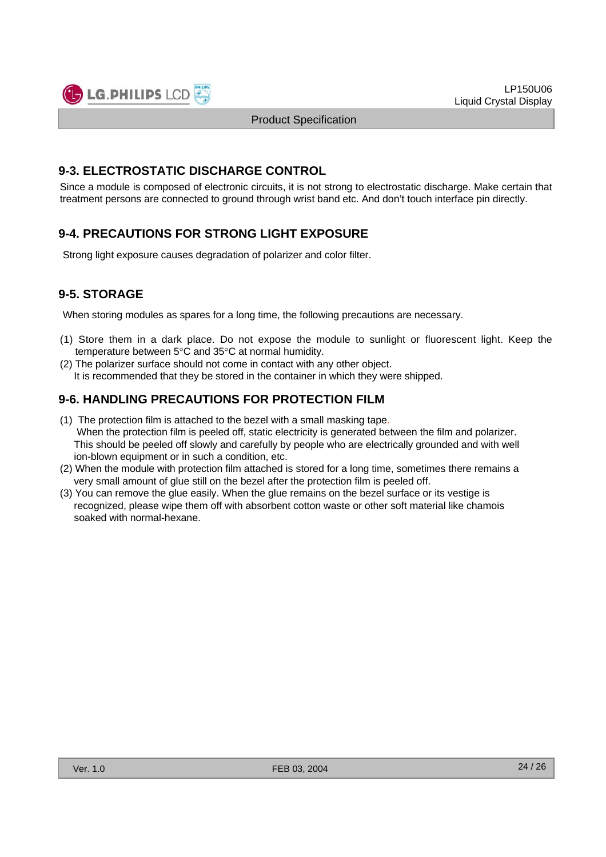#### **9-3. ELECTROSTATIC DISCHARGE CONTROL**

Since a module is composed of electronic circuits, it is not strong to electrostatic discharge. Make certain that treatment persons are connected to ground through wrist band etc. And don't touch interface pin directly.

# **9-4. PRECAUTIONS FOR STRONG LIGHT EXPOSURE**

Strong light exposure causes degradation of polarizer and color filter.

# **9-5. STORAGE**

When storing modules as spares for a long time, the following precautions are necessary.

- (1) Store them in a dark place. Do not expose the module to sunlight or fluorescent light. Keep the temperature between 5°C and 35°C at normal humidity.
- (2) The polarizer surface should not come in contact with any other object. It is recommended that they be stored in the container in which they were shipped.

# **9-6. HANDLING PRECAUTIONS FOR PROTECTION FILM**

- (1) The protection film is attached to the bezel with a small masking tape. When the protection film is peeled off, static electricity is generated between the film and polarizer. This should be peeled off slowly and carefully by people who are electrically grounded and with well ion-blown equipment or in such a condition, etc.
- (2) When the module with protection film attached is stored for a long time, sometimes there remains a very small amount of glue still on the bezel after the protection film is peeled off.
- (3) You can remove the glue easily. When the glue remains on the bezel surface or its vestige is recognized, please wipe them off with absorbent cotton waste or other soft material like chamois soaked with normal-hexane.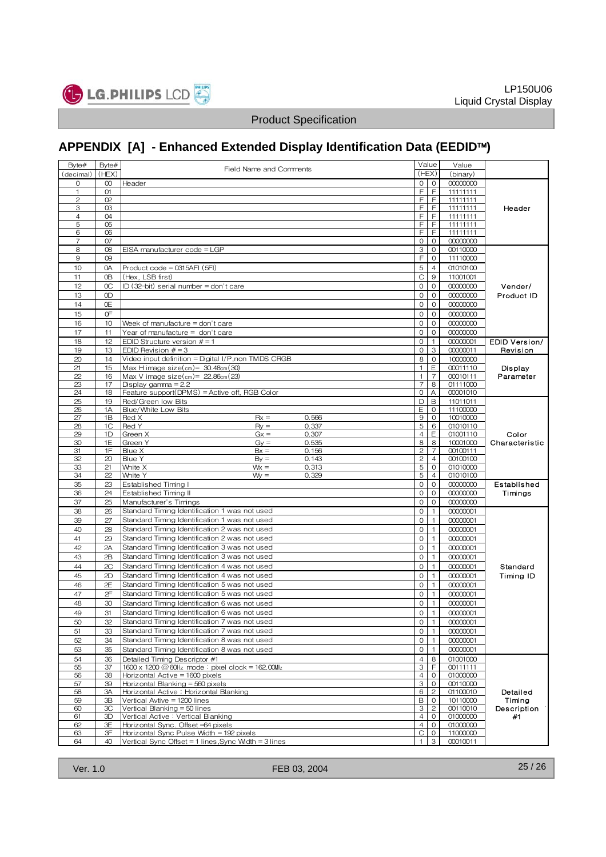

# **APPENDIX [A] - Enhanced Extended Display Identification Data (EEDID**™**)**

| Byte#          | Byte#       | Field Name and Comments                                                        |                               | Value                     | Value                |                      |
|----------------|-------------|--------------------------------------------------------------------------------|-------------------------------|---------------------------|----------------------|----------------------|
| (decimal)      | (HEX)       |                                                                                |                               | (HEX)                     | (binary)             |                      |
| 0              | $^{00}$     | Header                                                                         | $\Omega$                      | $\Omega$                  | 00000000             |                      |
| $\mathbf{1}$   | O1          |                                                                                | E                             | $\mathsf F$               | 11111111             |                      |
| 2<br>3         | 02<br>03    |                                                                                | F<br>F                        | F<br>F                    | 11111111<br>11111111 |                      |
| $\overline{4}$ | 04          |                                                                                | F                             | F                         | 11111111             | Header               |
| 5              | 05          |                                                                                | F                             | F                         | 11111111             |                      |
| 6              | 06          |                                                                                | F                             | F                         | 11111111             |                      |
| $\overline{7}$ | 07          |                                                                                | $\circ$                       | $\circ$                   | 00000000             |                      |
| 8              | 08          | EISA manufacturer code = LGP                                                   | 3                             | $\circ$                   | 00110000             |                      |
| 9              | 09          |                                                                                | F                             | $\circ$                   | 11110000             |                      |
| 10             | 0A          | $Product code = 0315AFI (5FI)$                                                 | 5                             | $\overline{4}$            | 01010100             |                      |
| 11             | 0B          | (Hex, LSB first)                                                               | C                             | 9                         | 11001001             |                      |
| 12             | $_{\rm OC}$ | ID (32-bit) serial number = don't care                                         | $\mathbf 0$                   | $\mathbf{0}$              | 00000000             | Vender/              |
| 13             | 0D          |                                                                                | $\circ$                       | 0                         | 00000000             | Product ID           |
| 14             | 0E          |                                                                                | $\circ$                       | $\mathbf 0$               | 00000000             |                      |
| 15             | 0F          |                                                                                | $\circ$                       | 0                         | 00000000             |                      |
| 16             | 10          | Week of manufacture $=$ don't care                                             | $\mathbf 0$                   | $\mathbf 0$               | 00000000             |                      |
| 17             | 11          | Year of manufacture = don't care                                               | $\mathbf 0$                   | $\mathbf{0}$              | 00000000             |                      |
| 18             | 12          | EDID Structure version $# = 1$                                                 | $\circ$                       | $\mathbf{1}$              | 00000001             | <b>EDID Version/</b> |
| 19             | 13          | EDID Revision $# = 3$                                                          | $\Omega$                      | 3                         | 00000011             | Revision             |
| 20             | 14          | Video input definition = Digital I/P, non TMDS CRGB                            | 8                             | $\mathbf 0$               | 10000000             |                      |
| 21             | 15          | Max H image size $\text{(cm)} = 30.48 \text{cm}$ $(30)$                        | $\mathbf{1}$                  | Ε                         | 00011110             | Display              |
| 22             | 16          | Max V image size $\text{(cm)} = 22.86 \text{cm}$ $(23)$                        | $\mathbf{1}$                  | $\overline{7}$            | 00010111             | Parameter            |
| 23<br>24       | 17<br>18    | Display gamma $= 2.2$<br>Feature support(DPMS) = Active off, RGB Color         | $\overline{7}$<br>$\mathbf 0$ | 8<br>A                    | 01111000<br>00001010 |                      |
| 25             | 19          | Red/Green low Bits                                                             | D                             | B                         | 11011011             |                      |
| 26             | 1A          | Blue/White Low Bits                                                            | E                             | $\mathbf{0}$              | 11100000             |                      |
| 27             | 1B          | 0.566<br>Red X<br>$Rx =$                                                       | 9                             | $\circ$                   | 10010000             |                      |
| 28             | 1C          | Red Y<br>0.337<br>$R_V =$                                                      | 5                             | 6                         | 01010110             |                      |
| 29             | 1D          | Green X<br>$Gx =$<br>0.307                                                     | $\overline{4}$                | Ε                         | 01001110             | Color                |
| 30             | 1E          | 0.535<br>Green Y<br>$G_V =$                                                    | 8                             | 8                         | 10001000             | Characteristic       |
| 31             | 1F          | Blue X<br>$Bx =$<br>0.156                                                      | $\overline{c}$                | $\overline{7}$            | 00100111             |                      |
| 32             | 20          | Blue Y<br>$By =$<br>0.143                                                      | $\overline{c}$                | $\overline{4}$            | 00100100             |                      |
| 33<br>34       | 21<br>22    | White X<br>$Wx =$<br>0.313<br>White Y<br>$W =$<br>0.329                        | 5<br>5                        | $\circ$<br>$\overline{4}$ | 01010000<br>01010100 |                      |
| 35             | 23          | Established Timing I                                                           | $\circ$                       | $\circ$                   | 00000000             | Established          |
| 36             | 24          | Established Timing II                                                          | 0                             | $\circ$                   | 00000000             | Timings              |
| 37             | 25          | Manufacturer's Timings                                                         | $\circ$                       | $\circ$                   | 00000000             |                      |
| 38             | 26          | Standard Timing Identification 1 was not used                                  | $\circ$                       | $\mathbf{1}$              | 00000001             |                      |
| 39             | 27          | Standard Timing Identification 1 was not used                                  | $\mathbf{O}$                  | $\overline{1}$            | 00000001             |                      |
| 40             | 28          | Standard Timing Identification 2 was not used                                  | $\mathbf{O}$                  | $\mathbf{1}$              | 00000001             |                      |
| 41             | 29          | Standard Timing Identification 2 was not used                                  | $\circ$                       | $\overline{1}$            | 00000001             |                      |
| 42             | 2A          | Standard Timing Identification 3 was not used                                  | 0                             | $\overline{1}$            | 00000001             |                      |
| 43             | 2B          | Standard Timing Identification 3 was not used                                  | $\circ$                       | $\mathbf{1}$              | 00000001             |                      |
| 44             | 2C          | Standard Timing Identification 4 was not used                                  | $\mathbf{O}$                  | $\mathbf{1}$              | 00000001             | Standard             |
| 45             | 2D          | Standard Timing Identification 4 was not used                                  | $\circ$                       | $\overline{1}$            | 00000001             | Timing ID            |
| 46             | 2E          | Standard Timing Identification 5 was not used                                  | $\circ$                       | $\mathbf{1}$              | 00000001             |                      |
| 47             | 2F          | Standard Timing Identification 5 was not used                                  | $\Omega$                      | $\overline{1}$            | 00000001             |                      |
| 48             | 30          | Standard Timing Identification 6 was not used                                  | $\circ$                       | $\mathbf{1}$              | 00000001             |                      |
| 49             | 31          | Standard Timing Identification 6 was not used                                  | $\Omega$                      | 1 <sup>1</sup>            | 00000001             |                      |
| 50             | 32          | Standard Timing Identification 7 was not used                                  | $\circ$                       | $\overline{1}$            | 00000001             |                      |
| 51             | 33          | Standard Timing Identification 7 was not used                                  | $\mathbf{O}$                  | $\overline{1}$            | 00000001             |                      |
| 52             | 34          | Standard Timing Identification 8 was not used                                  | 0                             | $\mathbf{1}$              | 00000001             |                      |
| 53             | 35          | Standard Timing Identification 8 was not used                                  | 0                             | $\overline{1}$            | 00000001             |                      |
| 54             | 36          | Detailed Timing Descriptor #1                                                  | $\overline{4}$                | 8                         | 01001000             |                      |
| 55             | 37          | 1600 x 1200 @ 60Hz mode: pixel clock = 162.00MHz                               | 3                             | E                         | 00111111             |                      |
| 56             | 38          | Horizontal Active = $1600$ pixels                                              | $\overline{4}$                | $\circ$                   | 01000000             |                      |
| 57             | 39          | Horizontal Blanking = 560 pixels                                               | 3                             | $\circ$                   | 00110000             |                      |
| 58             | 3A          | Horizontal Active: Horizontal Blanking                                         | 6                             | $\overline{c}$            | 01100010             | Detailed             |
| 59             | 3B          | Vertical Avtive = 1200 lines                                                   | В                             | $\circ$                   | 10110000             | Timing               |
| 60             | 3C          | Vertical Blanking = 50 lines                                                   | 3                             | $\overline{c}$            | 00110010             | Description          |
| 61             | 3D          | Vertical Active: Vertical Blanking                                             | $\overline{4}$                | $\overline{0}$            | 01000000             | #1                   |
| 62<br>63       | ЗE<br>3F    | Horizontal Sync. Offset =64 pixels<br>Horizontal Sync Pulse Width = 192 pixels | $\overline{4}$<br>C           | $\circ$<br>$\circ$        | 01000000<br>11000000 |                      |
| 64             | 40          | Vertical Sync Offset = 1 lines, Sync Width = 3 lines                           | $\mathbf{1}$                  | 3                         | 00010011             |                      |
|                |             |                                                                                |                               |                           |                      |                      |